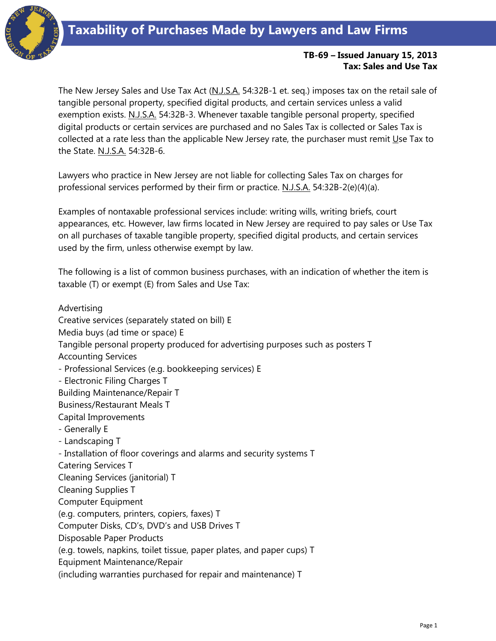

## **TB-69 – Issued January 15, 2013 Tax: Sales and Use Tax**

The New Jersey Sales and Use Tax Act (N.J.S.A. 54:32B-1 et. seq.) imposes tax on the retail sale of tangible personal property, specified digital products, and certain services unless a valid exemption exists. N.J.S.A. 54:32B-3. Whenever taxable tangible personal property, specified digital products or certain services are purchased and no Sales Tax is collected or Sales Tax is collected at a rate less than the applicable New Jersey rate, the purchaser must remit Use Tax to the State. N.J.S.A. 54:32B-6.

Lawyers who practice in New Jersey are not liable for collecting Sales Tax on charges for professional services performed by their firm or practice. N.J.S.A. 54:32B-2(e)(4)(a).

Examples of nontaxable professional services include: writing wills, writing briefs, court appearances, etc. However, law firms located in New Jersey are required to pay sales or Use Tax on all purchases of taxable tangible property, specified digital products, and certain services used by the firm, unless otherwise exempt by law.

The following is a list of common business purchases, with an indication of whether the item is taxable (T) or exempt (E) from Sales and Use Tax:

Advertising Creative services (separately stated on bill) E Media buys (ad time or space) E Tangible personal property produced for advertising purposes such as posters T Accounting Services - Professional Services (e.g. bookkeeping services) E - Electronic Filing Charges T Building Maintenance/Repair T Business/Restaurant Meals T Capital Improvements - Generally E - Landscaping T - Installation of floor coverings and alarms and security systems T Catering Services T Cleaning Services (janitorial) T Cleaning Supplies T Computer Equipment (e.g. computers, printers, copiers, faxes) T Computer Disks, CD's, DVD's and USB Drives T Disposable Paper Products (e.g. towels, napkins, toilet tissue, paper plates, and paper cups) T Equipment Maintenance/Repair (including warranties purchased for repair and maintenance) T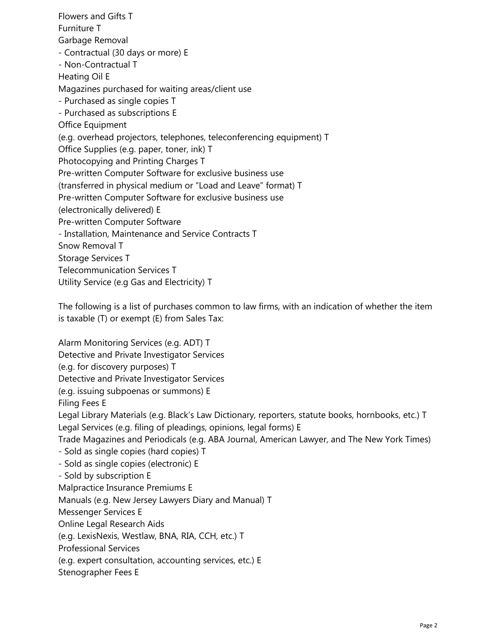Flowers and Gifts T Furniture T Garbage Removal - Contractual (30 days or more) E - Non-Contractual T Heating Oil E Magazines purchased for waiting areas/client use - Purchased as single copies T - Purchased as subscriptions E Office Equipment (e.g. overhead projectors, telephones, teleconferencing equipment) T Office Supplies (e.g. paper, toner, ink) T Photocopying and Printing Charges T Pre-written Computer Software for exclusive business use (transferred in physical medium or "Load and Leave" format) T Pre-written Computer Software for exclusive business use (electronically delivered) E Pre-written Computer Software - Installation, Maintenance and Service Contracts T Snow Removal T Storage Services T Telecommunication Services T Utility Service (e.g Gas and Electricity) T

The following is a list of purchases common to law firms, with an indication of whether the item is taxable (T) or exempt (E) from Sales Tax:

Alarm Monitoring Services (e.g. ADT) T Detective and Private Investigator Services (e.g. for discovery purposes) T Detective and Private Investigator Services (e.g. issuing subpoenas or summons) E Filing Fees E Legal Library Materials (e.g. Black's Law Dictionary, reporters, statute books, hornbooks, etc.) T Legal Services (e.g. filing of pleadings, opinions, legal forms) E Trade Magazines and Periodicals (e.g. ABA Journal, American Lawyer, and The New York Times) - Sold as single copies (hard copies) T - Sold as single copies (electronic) E - Sold by subscription E Malpractice Insurance Premiums E Manuals (e.g. New Jersey Lawyers Diary and Manual) T Messenger Services E Online Legal Research Aids (e.g. LexisNexis, Westlaw, BNA, RIA, CCH, etc.) T Professional Services (e.g. expert consultation, accounting services, etc.) E Stenographer Fees E